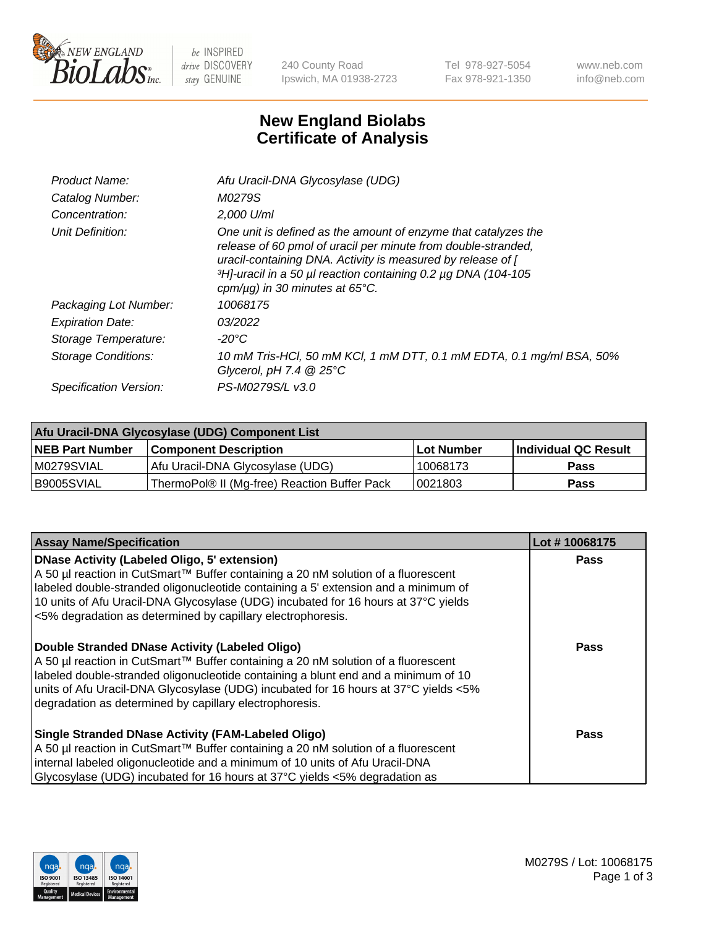

 $be$  INSPIRED drive DISCOVERY stay GENUINE

240 County Road Ipswich, MA 01938-2723 Tel 978-927-5054 Fax 978-921-1350 www.neb.com info@neb.com

## **New England Biolabs Certificate of Analysis**

| Product Name:           | Afu Uracil-DNA Glycosylase (UDG)                                                                                                                                                                                                                                                                        |
|-------------------------|---------------------------------------------------------------------------------------------------------------------------------------------------------------------------------------------------------------------------------------------------------------------------------------------------------|
| Catalog Number:         | M0279S                                                                                                                                                                                                                                                                                                  |
| Concentration:          | $2.000$ U/ml                                                                                                                                                                                                                                                                                            |
| Unit Definition:        | One unit is defined as the amount of enzyme that catalyzes the<br>release of 60 pmol of uracil per minute from double-stranded,<br>uracil-containing DNA. Activity is measured by release of [<br>3H]-uracil in a 50 µl reaction containing 0.2 µg DNA (104-105<br>cpm/ $\mu$ g) in 30 minutes at 65°C. |
| Packaging Lot Number:   | 10068175                                                                                                                                                                                                                                                                                                |
| <b>Expiration Date:</b> | 03/2022                                                                                                                                                                                                                                                                                                 |
| Storage Temperature:    | -20°C                                                                                                                                                                                                                                                                                                   |
| Storage Conditions:     | 10 mM Tris-HCl, 50 mM KCl, 1 mM DTT, 0.1 mM EDTA, 0.1 mg/ml BSA, 50%<br>Glycerol, pH 7.4 $@25^{\circ}C$                                                                                                                                                                                                 |
| Specification Version:  | PS-M0279S/L v3.0                                                                                                                                                                                                                                                                                        |
|                         |                                                                                                                                                                                                                                                                                                         |

| Afu Uracil-DNA Glycosylase (UDG) Component List |                                              |                   |                      |  |
|-------------------------------------------------|----------------------------------------------|-------------------|----------------------|--|
| <b>NEB Part Number</b>                          | <b>Component Description</b>                 | <b>Lot Number</b> | Individual QC Result |  |
| M0279SVIAL                                      | Afu Uracil-DNA Glycosylase (UDG)             | 10068173          | <b>Pass</b>          |  |
| I B9005SVIAL                                    | ThermoPol® II (Mg-free) Reaction Buffer Pack | 10021803          | Pass                 |  |

| <b>Assay Name/Specification</b>                                                                                                                                                                                                                                                                                                                                                     | Lot #10068175 |
|-------------------------------------------------------------------------------------------------------------------------------------------------------------------------------------------------------------------------------------------------------------------------------------------------------------------------------------------------------------------------------------|---------------|
| <b>DNase Activity (Labeled Oligo, 5' extension)</b><br>A 50 µl reaction in CutSmart™ Buffer containing a 20 nM solution of a fluorescent<br>labeled double-stranded oligonucleotide containing a 5' extension and a minimum of<br>10 units of Afu Uracil-DNA Glycosylase (UDG) incubated for 16 hours at 37°C yields<br><5% degradation as determined by capillary electrophoresis. | <b>Pass</b>   |
| Double Stranded DNase Activity (Labeled Oligo)<br>A 50 µl reaction in CutSmart™ Buffer containing a 20 nM solution of a fluorescent<br>labeled double-stranded oligonucleotide containing a blunt end and a minimum of 10<br>units of Afu Uracil-DNA Glycosylase (UDG) incubated for 16 hours at 37°C yields <5%<br>degradation as determined by capillary electrophoresis.         | Pass          |
| <b>Single Stranded DNase Activity (FAM-Labeled Oligo)</b><br>A 50 µl reaction in CutSmart™ Buffer containing a 20 nM solution of a fluorescent<br>internal labeled oligonucleotide and a minimum of 10 units of Afu Uracil-DNA<br>Glycosylase (UDG) incubated for 16 hours at $37^{\circ}$ C yields <5% degradation as                                                              | Pass          |

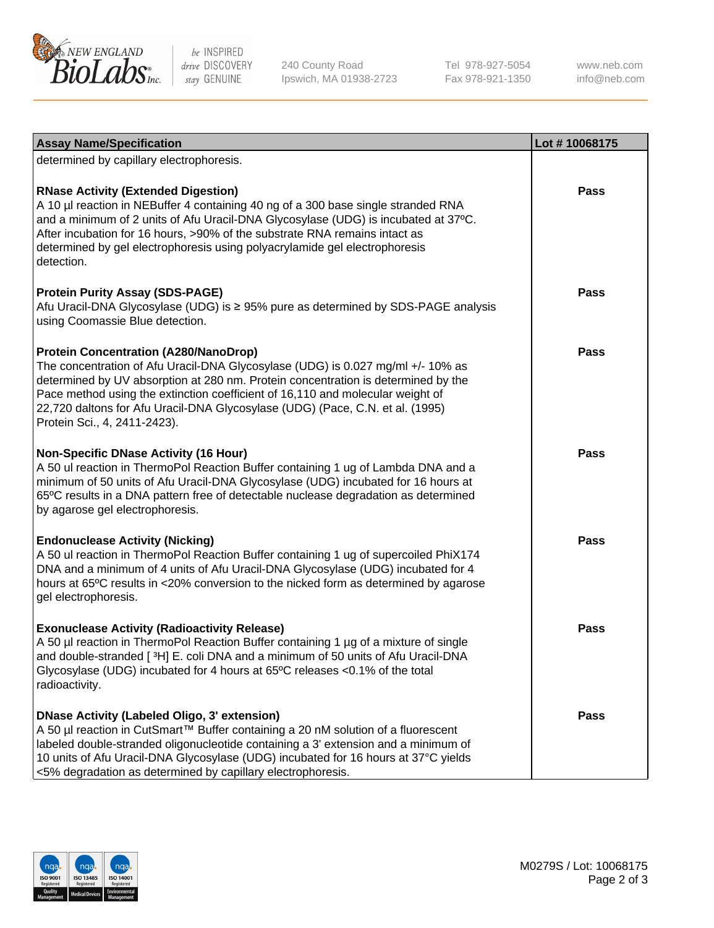

be INSPIRED drive DISCOVERY stay GENUINE

240 County Road Ipswich, MA 01938-2723 Tel 978-927-5054 Fax 978-921-1350

www.neb.com info@neb.com

| <b>Assay Name/Specification</b>                                                                                                                                                                                                                                                                                                                                                                                         | Lot #10068175 |
|-------------------------------------------------------------------------------------------------------------------------------------------------------------------------------------------------------------------------------------------------------------------------------------------------------------------------------------------------------------------------------------------------------------------------|---------------|
| determined by capillary electrophoresis.                                                                                                                                                                                                                                                                                                                                                                                |               |
| <b>RNase Activity (Extended Digestion)</b><br>A 10 µl reaction in NEBuffer 4 containing 40 ng of a 300 base single stranded RNA<br>and a minimum of 2 units of Afu Uracil-DNA Glycosylase (UDG) is incubated at 37°C.<br>After incubation for 16 hours, >90% of the substrate RNA remains intact as<br>determined by gel electrophoresis using polyacrylamide gel electrophoresis<br>detection.                         | <b>Pass</b>   |
| <b>Protein Purity Assay (SDS-PAGE)</b><br>Afu Uracil-DNA Glycosylase (UDG) is ≥ 95% pure as determined by SDS-PAGE analysis<br>using Coomassie Blue detection.                                                                                                                                                                                                                                                          | Pass          |
| <b>Protein Concentration (A280/NanoDrop)</b><br>The concentration of Afu Uracil-DNA Glycosylase (UDG) is 0.027 mg/ml +/- 10% as<br>determined by UV absorption at 280 nm. Protein concentration is determined by the<br>Pace method using the extinction coefficient of 16,110 and molecular weight of<br>22,720 daltons for Afu Uracil-DNA Glycosylase (UDG) (Pace, C.N. et al. (1995)<br>Protein Sci., 4, 2411-2423). | Pass          |
| <b>Non-Specific DNase Activity (16 Hour)</b><br>A 50 ul reaction in ThermoPol Reaction Buffer containing 1 ug of Lambda DNA and a<br>minimum of 50 units of Afu Uracil-DNA Glycosylase (UDG) incubated for 16 hours at<br>65°C results in a DNA pattern free of detectable nuclease degradation as determined<br>by agarose gel electrophoresis.                                                                        | Pass          |
| <b>Endonuclease Activity (Nicking)</b><br>A 50 ul reaction in ThermoPol Reaction Buffer containing 1 ug of supercoiled PhiX174<br>DNA and a minimum of 4 units of Afu Uracil-DNA Glycosylase (UDG) incubated for 4<br>hours at 65°C results in <20% conversion to the nicked form as determined by agarose<br>gel electrophoresis.                                                                                      | <b>Pass</b>   |
| <b>Exonuclease Activity (Radioactivity Release)</b><br>A 50 µl reaction in ThermoPol Reaction Buffer containing 1 µg of a mixture of single<br>and double-stranded [3H] E. coli DNA and a minimum of 50 units of Afu Uracil-DNA<br>Glycosylase (UDG) incubated for 4 hours at 65°C releases <0.1% of the total<br>radioactivity.                                                                                        | <b>Pass</b>   |
| <b>DNase Activity (Labeled Oligo, 3' extension)</b><br>A 50 µl reaction in CutSmart™ Buffer containing a 20 nM solution of a fluorescent<br>labeled double-stranded oligonucleotide containing a 3' extension and a minimum of<br>10 units of Afu Uracil-DNA Glycosylase (UDG) incubated for 16 hours at 37°C yields<br><5% degradation as determined by capillary electrophoresis.                                     | Pass          |